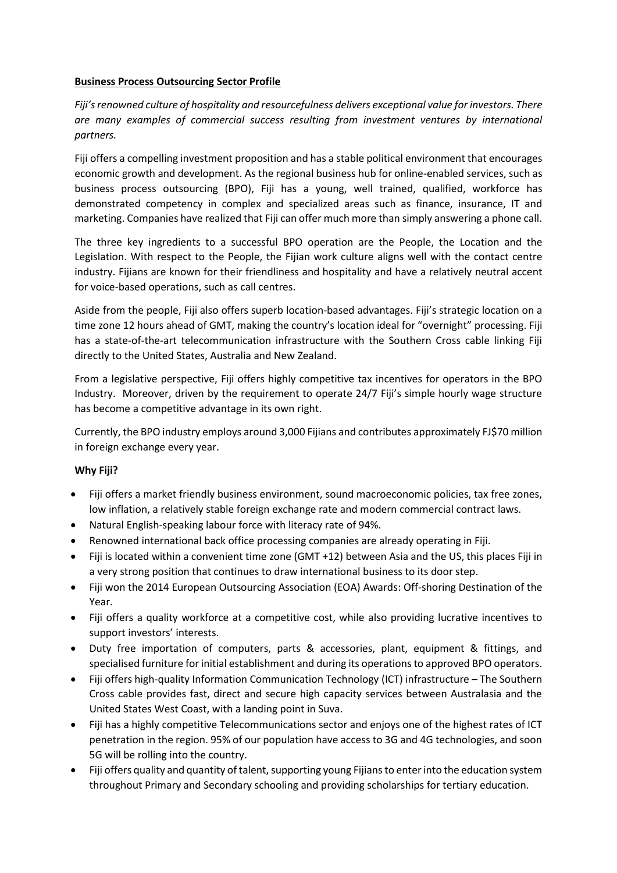## **Business Process Outsourcing Sector Profile**

*Fiji's renowned culture of hospitality and resourcefulness delivers exceptional value for investors. There are many examples of commercial success resulting from investment ventures by international partners.*

Fiji offers a compelling investment proposition and has a stable political environment that encourages economic growth and development. As the regional business hub for online-enabled services, such as business process outsourcing (BPO), Fiji has a young, well trained, qualified, workforce has demonstrated competency in complex and specialized areas such as finance, insurance, IT and marketing. Companies have realized that Fiji can offer much more than simply answering a phone call.

The three key ingredients to a successful BPO operation are the People, the Location and the Legislation. With respect to the People, the Fijian work culture aligns well with the contact centre industry. Fijians are known for their friendliness and hospitality and have a relatively neutral accent for voice-based operations, such as call centres.

Aside from the people, Fiji also offers superb location-based advantages. Fiji's strategic location on a time zone 12 hours ahead of GMT, making the country's location ideal for "overnight" processing. Fiji has a state-of-the-art telecommunication infrastructure with the Southern Cross cable linking Fiji directly to the United States, Australia and New Zealand.

From a legislative perspective, Fiji offers highly competitive tax incentives for operators in the BPO Industry. Moreover, driven by the requirement to operate 24/7 Fiji's simple hourly wage structure has become a competitive advantage in its own right.

Currently, the BPO industry employs around 3,000 Fijians and contributes approximately FJ\$70 million in foreign exchange every year.

# **Why Fiji?**

- Fiji offers a market friendly business environment, sound macroeconomic policies, tax free zones, low inflation, a relatively stable foreign exchange rate and modern commercial contract laws.
- Natural English-speaking labour force with literacy rate of 94%.
- Renowned international back office processing companies are already operating in Fiji.
- Fiji is located within a convenient time zone (GMT +12) between Asia and the US, this places Fiji in a very strong position that continues to draw international business to its door step.
- Fiji won the 2014 European Outsourcing Association (EOA) Awards: Off-shoring Destination of the Year.
- Fiji offers a quality workforce at a competitive cost, while also providing lucrative incentives to support investors' interests.
- Duty free importation of computers, parts & accessories, plant, equipment & fittings, and specialised furniture for initial establishment and during its operations to approved BPO operators.
- Fiji offers high-quality Information Communication Technology (ICT) infrastructure The Southern Cross cable provides fast, direct and secure high capacity services between Australasia and the United States West Coast, with a landing point in Suva.
- Fiji has a highly competitive Telecommunications sector and enjoys one of the highest rates of ICT penetration in the region. 95% of our population have access to 3G and 4G technologies, and soon 5G will be rolling into the country.
- Fiji offers quality and quantity of talent, supporting young Fijians to enter into the education system throughout Primary and Secondary schooling and providing scholarships for tertiary education.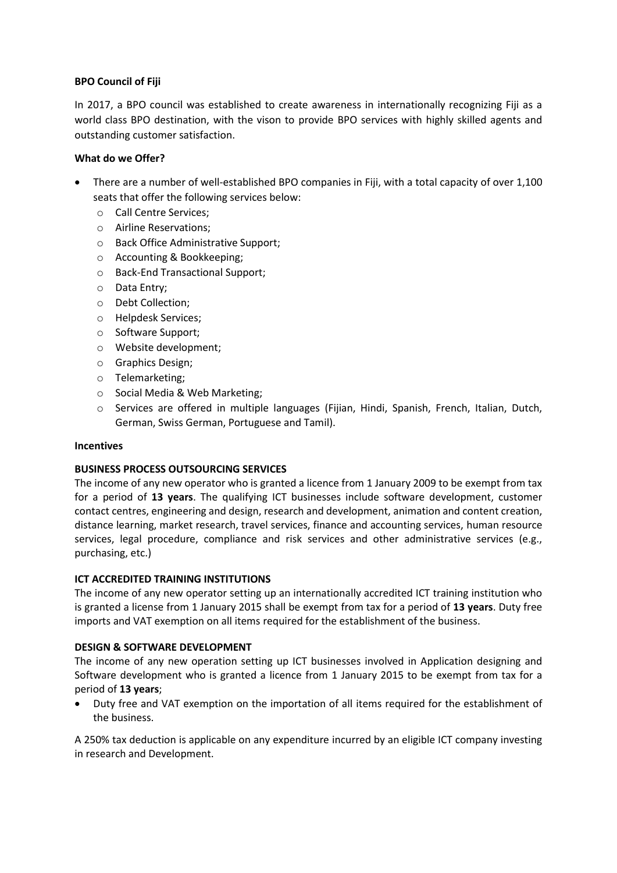## **BPO Council of Fiji**

In 2017, a BPO council was established to create awareness in internationally recognizing Fiji as a world class BPO destination, with the vison to provide BPO services with highly skilled agents and outstanding customer satisfaction.

## **What do we Offer?**

- There are a number of well-established BPO companies in Fiji, with a total capacity of over 1,100 seats that offer the following services below:
	- o Call Centre Services;
	- o Airline Reservations;
	- o Back Office Administrative Support;
	- o Accounting & Bookkeeping;
	- o Back-End Transactional Support;
	- o Data Entry;
	- o Debt Collection;
	- o Helpdesk Services;
	- o Software Support;
	- o Website development;
	- o Graphics Design;
	- o Telemarketing;
	- o Social Media & Web Marketing;
	- o Services are offered in multiple languages (Fijian, Hindi, Spanish, French, Italian, Dutch, German, Swiss German, Portuguese and Tamil).

#### **Incentives**

# **BUSINESS PROCESS OUTSOURCING SERVICES**

The income of any new operator who is granted a licence from 1 January 2009 to be exempt from tax for a period of **13 years**. The qualifying ICT businesses include software development, customer contact centres, engineering and design, research and development, animation and content creation, distance learning, market research, travel services, finance and accounting services, human resource services, legal procedure, compliance and risk services and other administrative services (e.g., purchasing, etc.)

#### **ICT ACCREDITED TRAINING INSTITUTIONS**

The income of any new operator setting up an internationally accredited ICT training institution who is granted a license from 1 January 2015 shall be exempt from tax for a period of **13 years**. Duty free imports and VAT exemption on all items required for the establishment of the business.

#### **DESIGN & SOFTWARE DEVELOPMENT**

The income of any new operation setting up ICT businesses involved in Application designing and Software development who is granted a licence from 1 January 2015 to be exempt from tax for a period of **13 years**;

• Duty free and VAT exemption on the importation of all items required for the establishment of the business.

A 250% tax deduction is applicable on any expenditure incurred by an eligible ICT company investing in research and Development.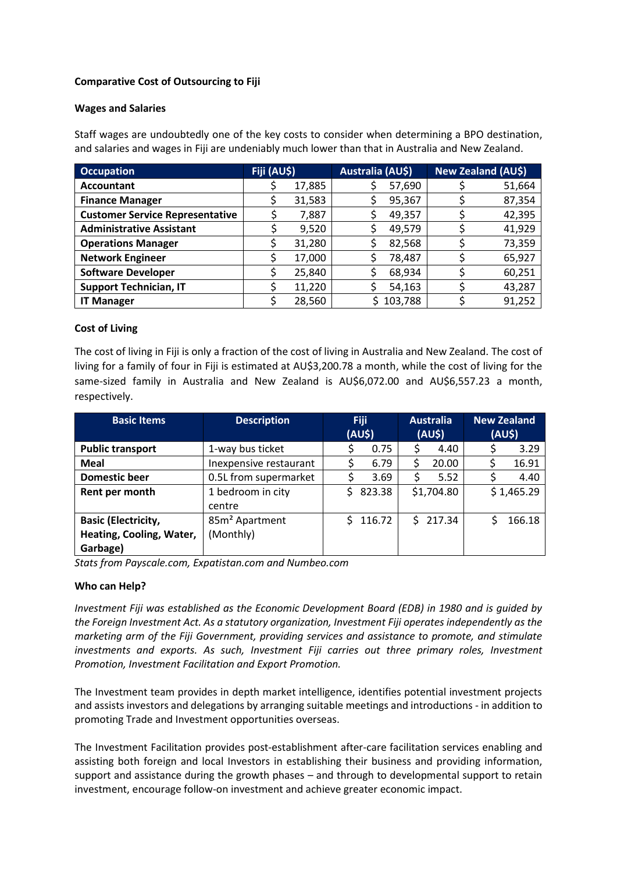## **Comparative Cost of Outsourcing to Fiji**

#### **Wages and Salaries**

Staff wages are undoubtedly one of the key costs to consider when determining a BPO destination, and salaries and wages in Fiji are undeniably much lower than that in Australia and New Zealand.

| <b>Occupation</b>                      | Fiji (AU\$) |        | Australia (AU\$) |         | <b>New Zealand (AU\$)</b> |        |  |
|----------------------------------------|-------------|--------|------------------|---------|---------------------------|--------|--|
| <b>Accountant</b>                      |             | 17,885 |                  | 57,690  |                           | 51,664 |  |
| <b>Finance Manager</b>                 |             | 31,583 |                  | 95,367  |                           | 87,354 |  |
| <b>Customer Service Representative</b> |             | 7,887  |                  | 49,357  |                           | 42,395 |  |
| <b>Administrative Assistant</b>        |             | 9,520  |                  | 49,579  |                           | 41,929 |  |
| <b>Operations Manager</b>              |             | 31,280 |                  | 82,568  |                           | 73,359 |  |
| <b>Network Engineer</b>                |             | 17,000 |                  | 78,487  |                           | 65,927 |  |
| <b>Software Developer</b>              |             | 25,840 |                  | 68,934  |                           | 60,251 |  |
| <b>Support Technician, IT</b>          |             | 11,220 |                  | 54,163  |                           | 43,287 |  |
| <b>IT Manager</b>                      |             | 28,560 |                  | 103,788 |                           | 91,252 |  |

## **Cost of Living**

The cost of living in Fiji is only a fraction of the cost of living in Australia and New Zealand. The cost of living for a family of four in Fiji is estimated at AU\$3,200.78 a month, while the cost of living for the same-sized family in Australia and New Zealand is AU\$6,072.00 and AU\$6,557.23 a month, respectively.

| <b>Basic Items</b>         | <b>Description</b>         | <b>Fiji</b><br>$(AU\$ |        | <b>Australia</b><br>$(AU\$ |        | <b>New Zealand</b><br>$(AU\$ |        |
|----------------------------|----------------------------|-----------------------|--------|----------------------------|--------|------------------------------|--------|
| <b>Public transport</b>    | 1-way bus ticket           |                       | 0.75   | \$                         | 4.40   | \$                           | 3.29   |
| <b>Meal</b>                | Inexpensive restaurant     | \$                    | 6.79   | \$                         | 20.00  | S                            | 16.91  |
| <b>Domestic beer</b>       | 0.5L from supermarket      |                       | 3.69   | \$                         | 5.52   | \$                           | 4.40   |
| Rent per month             | 1 bedroom in city          | 823.38<br>S.          |        | \$1,704.80                 |        | \$1,465.29                   |        |
|                            | centre                     |                       |        |                            |        |                              |        |
| <b>Basic (Electricity,</b> | 85m <sup>2</sup> Apartment | S.                    | 116.72 |                            | 217.34 |                              | 166.18 |
| Heating, Cooling, Water,   | (Monthly)                  |                       |        |                            |        |                              |        |
| Garbage)                   |                            |                       |        |                            |        |                              |        |

*Stats from Payscale.com, Expatistan.com and Numbeo.com*

#### **Who can Help?**

*Investment Fiji was established as the Economic Development Board (EDB) in 1980 and is guided by the Foreign Investment Act. As a statutory organization, Investment Fiji operates independently as the marketing arm of the Fiji Government, providing services and assistance to promote, and stimulate investments and exports. As such, Investment Fiji carries out three primary roles, Investment Promotion, Investment Facilitation and Export Promotion.*

The Investment team provides in depth market intelligence, identifies potential investment projects and assists investors and delegations by arranging suitable meetings and introductions - in addition to promoting Trade and Investment opportunities overseas.

The Investment Facilitation provides post-establishment after-care facilitation services enabling and assisting both foreign and local Investors in establishing their business and providing information, support and assistance during the growth phases – and through to developmental support to retain investment, encourage follow-on investment and achieve greater economic impact.